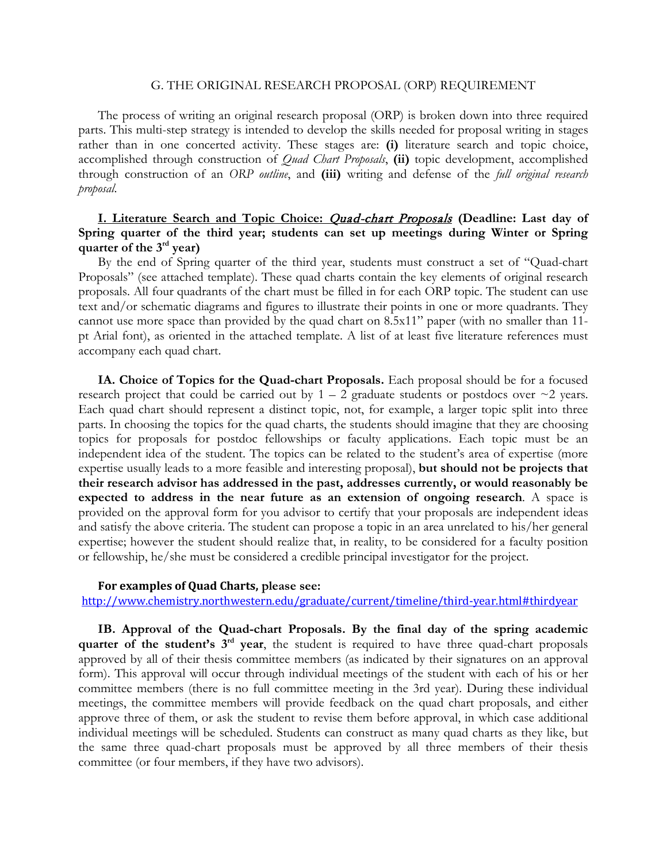#### G. THE ORIGINAL RESEARCH PROPOSAL (ORP) REQUIREMENT

The process of writing an original research proposal (ORP) is broken down into three required parts. This multi-step strategy is intended to develop the skills needed for proposal writing in stages rather than in one concerted activity. These stages are: **(i)** literature search and topic choice, accomplished through construction of *Quad Chart Proposals*, **(ii)** topic development, accomplished through construction of an *ORP outline*, and **(iii)** writing and defense of the *full original research proposal*.

# **I. Literature Search and Topic Choice:** Quad-chart Proposals **(Deadline: Last day of Spring quarter of the third year; students can set up meetings during Winter or Spring quarter of the 3rd year)**

By the end of Spring quarter of the third year, students must construct a set of "Quad-chart Proposals" (see attached template). These quad charts contain the key elements of original research proposals. All four quadrants of the chart must be filled in for each ORP topic. The student can use text and/or schematic diagrams and figures to illustrate their points in one or more quadrants. They cannot use more space than provided by the quad chart on 8.5x11" paper (with no smaller than 11 pt Arial font), as oriented in the attached template. A list of at least five literature references must accompany each quad chart.

**IA. Choice of Topics for the Quad-chart Proposals.** Each proposal should be for a focused research project that could be carried out by  $1 - 2$  graduate students or postdocs over  $\sim$ 2 years. Each quad chart should represent a distinct topic, not, for example, a larger topic split into three parts. In choosing the topics for the quad charts, the students should imagine that they are choosing topics for proposals for postdoc fellowships or faculty applications. Each topic must be an independent idea of the student. The topics can be related to the student's area of expertise (more expertise usually leads to a more feasible and interesting proposal), **but should not be projects that their research advisor has addressed in the past, addresses currently, or would reasonably be expected to address in the near future as an extension of ongoing research**. A space is provided on the approval form for you advisor to certify that your proposals are independent ideas and satisfy the above criteria. The student can propose a topic in an area unrelated to his/her general expertise; however the student should realize that, in reality, to be considered for a faculty position or fellowship, he/she must be considered a credible principal investigator for the project.

### **For examples of Quad Charts, please see:**

<http://www.chemistry.northwestern.edu/graduate/current/timeline/third-year.html#thirdyear>

**IB. Approval of the Quad-chart Proposals. By the final day of the spring academic quarter of the student's 3rd year**, the student is required to have three quad-chart proposals approved by all of their thesis committee members (as indicated by their signatures on an approval form). This approval will occur through individual meetings of the student with each of his or her committee members (there is no full committee meeting in the 3rd year). During these individual meetings, the committee members will provide feedback on the quad chart proposals, and either approve three of them, or ask the student to revise them before approval, in which case additional individual meetings will be scheduled. Students can construct as many quad charts as they like, but the same three quad-chart proposals must be approved by all three members of their thesis committee (or four members, if they have two advisors).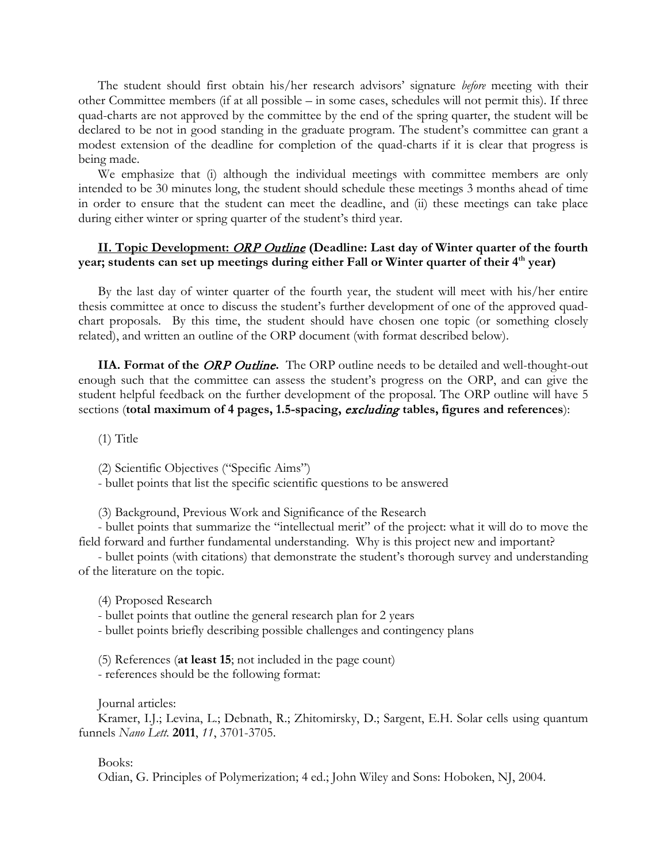The student should first obtain his/her research advisors' signature *before* meeting with their other Committee members (if at all possible – in some cases, schedules will not permit this). If three quad-charts are not approved by the committee by the end of the spring quarter, the student will be declared to be not in good standing in the graduate program. The student's committee can grant a modest extension of the deadline for completion of the quad-charts if it is clear that progress is being made.

We emphasize that (i) although the individual meetings with committee members are only intended to be 30 minutes long, the student should schedule these meetings 3 months ahead of time in order to ensure that the student can meet the deadline, and (ii) these meetings can take place during either winter or spring quarter of the student's third year.

### **II. Topic Development:** ORP Outline **(Deadline: Last day of Winter quarter of the fourth year; students can set up meetings during either Fall or Winter quarter of their 4th year)**

By the last day of winter quarter of the fourth year, the student will meet with his/her entire thesis committee at once to discuss the student's further development of one of the approved quadchart proposals. By this time, the student should have chosen one topic (or something closely related), and written an outline of the ORP document (with format described below).

**IIA. Format of the** *ORP Outline*. The ORP outline needs to be detailed and well-thought-out enough such that the committee can assess the student's progress on the ORP, and can give the student helpful feedback on the further development of the proposal. The ORP outline will have 5 sections (**total maximum of 4 pages, 1.5-spacing,** excluding **tables, figures and references**):

(1) Title

(2) Scientific Objectives ("Specific Aims")

- bullet points that list the specific scientific questions to be answered

(3) Background, Previous Work and Significance of the Research

- bullet points that summarize the "intellectual merit" of the project: what it will do to move the field forward and further fundamental understanding. Why is this project new and important?

- bullet points (with citations) that demonstrate the student's thorough survey and understanding of the literature on the topic.

(4) Proposed Research

- bullet points that outline the general research plan for 2 years

- bullet points briefly describing possible challenges and contingency plans

(5) References (**at least 15**; not included in the page count) - references should be the following format:

Journal articles:

Kramer, I.J.; Levina, L.; Debnath, R.; Zhitomirsky, D.; Sargent, E.H. Solar cells using quantum funnels *Nano Lett.* **2011**, *11*, 3701-3705.

Books:

Odian, G. Principles of Polymerization; 4 ed.; John Wiley and Sons: Hoboken, NJ, 2004.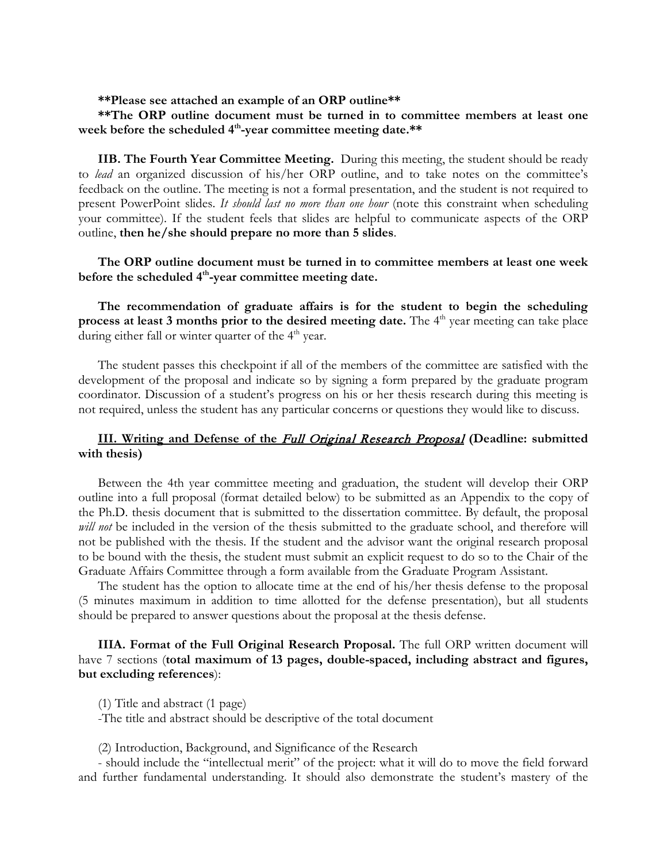**\*\*Please see attached an example of an ORP outline\*\*** 

# **\*\*The ORP outline document must be turned in to committee members at least one week before the scheduled 4th-year committee meeting date.\*\***

**IIB. The Fourth Year Committee Meeting.** During this meeting, the student should be ready to *lead* an organized discussion of his/her ORP outline, and to take notes on the committee's feedback on the outline. The meeting is not a formal presentation, and the student is not required to present PowerPoint slides. *It should last no more than one hour* (note this constraint when scheduling your committee). If the student feels that slides are helpful to communicate aspects of the ORP outline, **then he/she should prepare no more than 5 slides**.

# **The ORP outline document must be turned in to committee members at least one week before the scheduled 4th-year committee meeting date.**

**The recommendation of graduate affairs is for the student to begin the scheduling process at least 3 months prior to the desired meeting date.** The 4<sup>th</sup> year meeting can take place during either fall or winter quarter of the  $4<sup>th</sup>$  year.

The student passes this checkpoint if all of the members of the committee are satisfied with the development of the proposal and indicate so by signing a form prepared by the graduate program coordinator. Discussion of a student's progress on his or her thesis research during this meeting is not required, unless the student has any particular concerns or questions they would like to discuss.

# **III. Writing and Defense of the** Full Original Research Proposal **(Deadline: submitted with thesis)**

Between the 4th year committee meeting and graduation, the student will develop their ORP outline into a full proposal (format detailed below) to be submitted as an Appendix to the copy of the Ph.D. thesis document that is submitted to the dissertation committee. By default, the proposal *will not* be included in the version of the thesis submitted to the graduate school, and therefore will not be published with the thesis. If the student and the advisor want the original research proposal to be bound with the thesis, the student must submit an explicit request to do so to the Chair of the Graduate Affairs Committee through a form available from the Graduate Program Assistant.

The student has the option to allocate time at the end of his/her thesis defense to the proposal (5 minutes maximum in addition to time allotted for the defense presentation), but all students should be prepared to answer questions about the proposal at the thesis defense.

**IIIA. Format of the Full Original Research Proposal.** The full ORP written document will have 7 sections (**total maximum of 13 pages, double-spaced, including abstract and figures, but excluding references**):

(1) Title and abstract (1 page)

-The title and abstract should be descriptive of the total document

(2) Introduction, Background, and Significance of the Research

- should include the "intellectual merit" of the project: what it will do to move the field forward and further fundamental understanding. It should also demonstrate the student's mastery of the